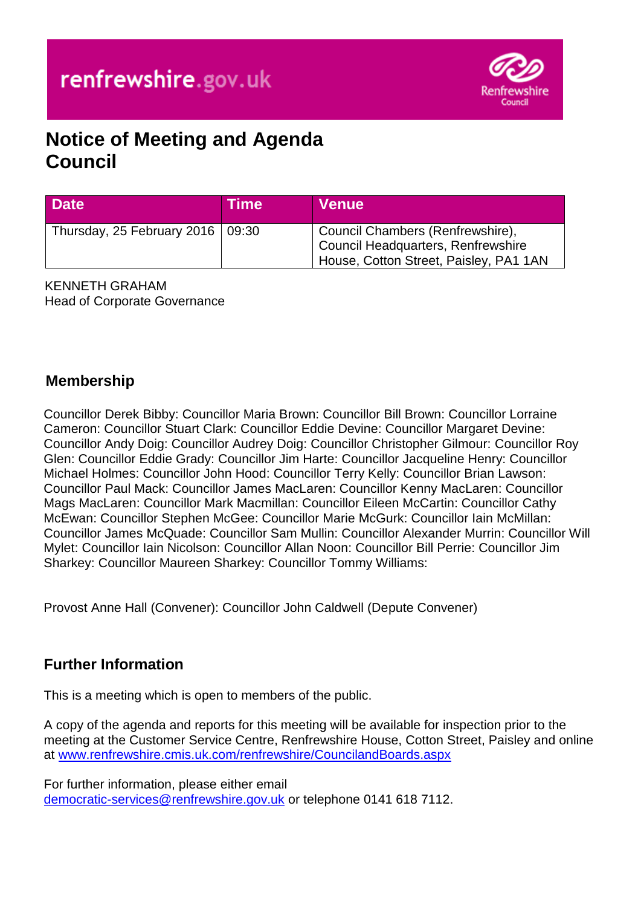

# **Notice of Meeting and Agenda Council**

| <b>Date</b>                              | Time | <b>Venue</b>                                                                                                     |
|------------------------------------------|------|------------------------------------------------------------------------------------------------------------------|
| Thursday, 25 February 2016 $\vert$ 09:30 |      | Council Chambers (Renfrewshire),<br>Council Headquarters, Renfrewshire<br>House, Cotton Street, Paisley, PA1 1AN |

KENNETH GRAHAM Head of Corporate Governance

# **Membership**

Councillor Derek Bibby: Councillor Maria Brown: Councillor Bill Brown: Councillor Lorraine Cameron: Councillor Stuart Clark: Councillor Eddie Devine: Councillor Margaret Devine: Councillor Andy Doig: Councillor Audrey Doig: Councillor Christopher Gilmour: Councillor Roy Glen: Councillor Eddie Grady: Councillor Jim Harte: Councillor Jacqueline Henry: Councillor Michael Holmes: Councillor John Hood: Councillor Terry Kelly: Councillor Brian Lawson: Councillor Paul Mack: Councillor James MacLaren: Councillor Kenny MacLaren: Councillor Mags MacLaren: Councillor Mark Macmillan: Councillor Eileen McCartin: Councillor Cathy McEwan: Councillor Stephen McGee: Councillor Marie McGurk: Councillor Iain McMillan: Councillor James McQuade: Councillor Sam Mullin: Councillor Alexander Murrin: Councillor Will Mylet: Councillor Iain Nicolson: Councillor Allan Noon: Councillor Bill Perrie: Councillor Jim Sharkey: Councillor Maureen Sharkey: Councillor Tommy Williams:

Provost Anne Hall (Convener): Councillor John Caldwell (Depute Convener)

# **Further Information**

This is a meeting which is open to members of the public.

A copy of the agenda and reports for this meeting will be available for inspection prior to the meeting at the Customer Service Centre, Renfrewshire House, Cotton Street, Paisley and online at [www.renfrewshire.cmis.uk.com/renfrewshire/CouncilandBoards.aspx](http://www.renfrewshire.cmis.uk.com/renfrewshire/CouncilandBoards.aspx)

For further information, please either email [democratic-services@renfrewshire.gov.uk](mailto:democratic-services@renfrewshire.gov.uk) or telephone 0141 618 7112.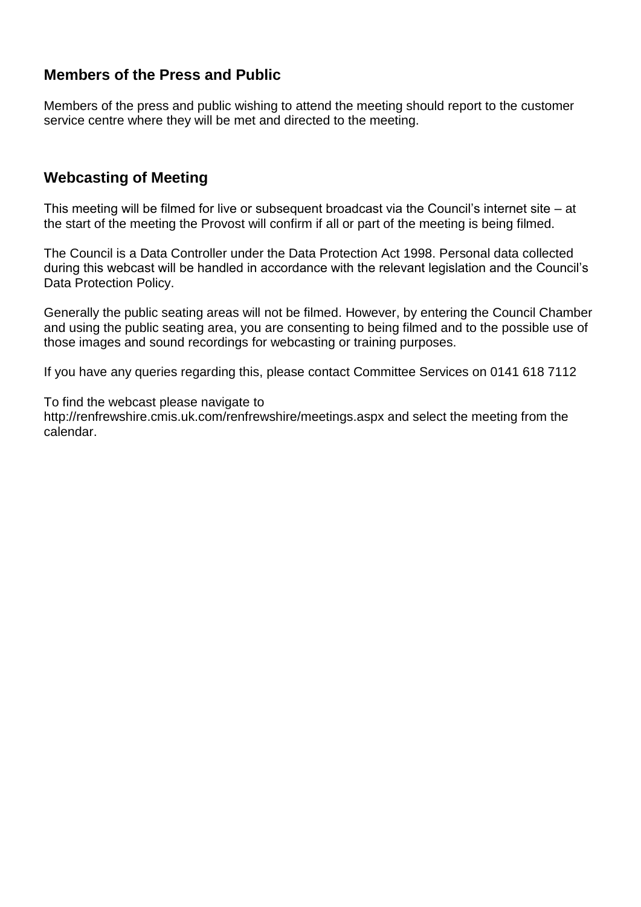# **Members of the Press and Public**

Members of the press and public wishing to attend the meeting should report to the customer service centre where they will be met and directed to the meeting.

# **Webcasting of Meeting**

This meeting will be filmed for live or subsequent broadcast via the Council's internet site – at the start of the meeting the Provost will confirm if all or part of the meeting is being filmed.

The Council is a Data Controller under the Data Protection Act 1998. Personal data collected during this webcast will be handled in accordance with the relevant legislation and the Council's Data Protection Policy.

Generally the public seating areas will not be filmed. However, by entering the Council Chamber and using the public seating area, you are consenting to being filmed and to the possible use of those images and sound recordings for webcasting or training purposes.

If you have any queries regarding this, please contact Committee Services on 0141 618 7112

To find the webcast please navigate to

http://renfrewshire.cmis.uk.com/renfrewshire/meetings.aspx and select the meeting from the calendar.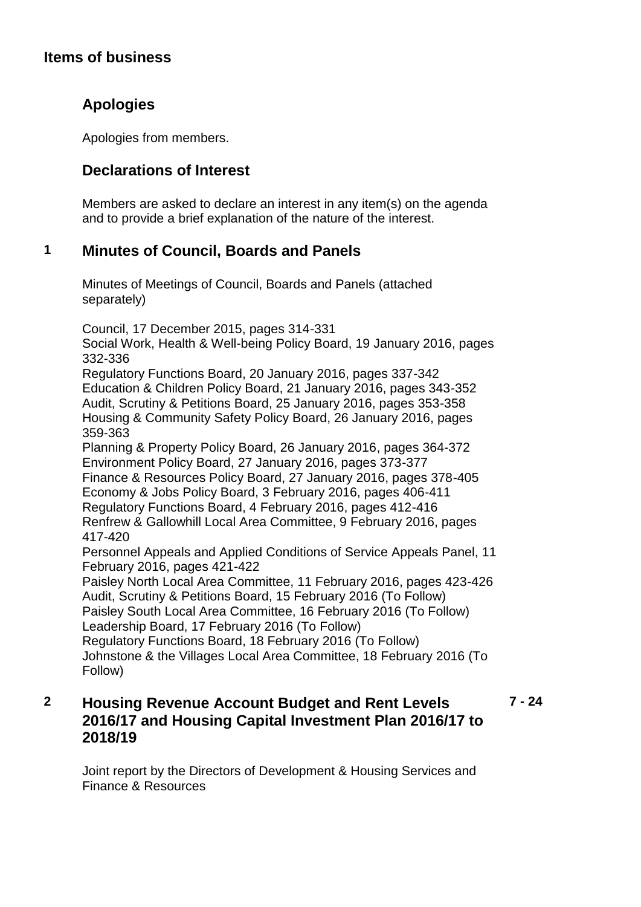#### **Items of business**

# **Apologies**

Apologies from members.

# **Declarations of Interest**

Members are asked to declare an interest in any item(s) on the agenda and to provide a brief explanation of the nature of the interest.

# **1 Minutes of Council, Boards and Panels**

Minutes of Meetings of Council, Boards and Panels (attached separately)

Council, 17 December 2015, pages 314-331

Social Work, Health & Well-being Policy Board, 19 January 2016, pages 332-336

Regulatory Functions Board, 20 January 2016, pages 337-342 Education & Children Policy Board, 21 January 2016, pages 343-352 Audit, Scrutiny & Petitions Board, 25 January 2016, pages 353-358 Housing & Community Safety Policy Board, 26 January 2016, pages 359-363

Planning & Property Policy Board, 26 January 2016, pages 364-372 Environment Policy Board, 27 January 2016, pages 373-377 Finance & Resources Policy Board, 27 January 2016, pages 378-405

Economy & Jobs Policy Board, 3 February 2016, pages 406-411 Regulatory Functions Board, 4 February 2016, pages 412-416 Renfrew & Gallowhill Local Area Committee, 9 February 2016, pages 417-420

Personnel Appeals and Applied Conditions of Service Appeals Panel, 11 February 2016, pages 421-422

Paisley North Local Area Committee, 11 February 2016, pages 423-426 Audit, Scrutiny & Petitions Board, 15 February 2016 (To Follow) Paisley South Local Area Committee, 16 February 2016 (To Follow) Leadership Board, 17 February 2016 (To Follow)

Regulatory Functions Board, 18 February 2016 (To Follow) Johnstone & the Villages Local Area Committee, 18 February 2016 (To Follow)

#### **2 Housing Revenue Account Budget and Rent Levels 2016/17 and Housing Capital Investment Plan 2016/17 to 2018/19 7 - 24**

Joint report by the Directors of Development & Housing Services and Finance & Resources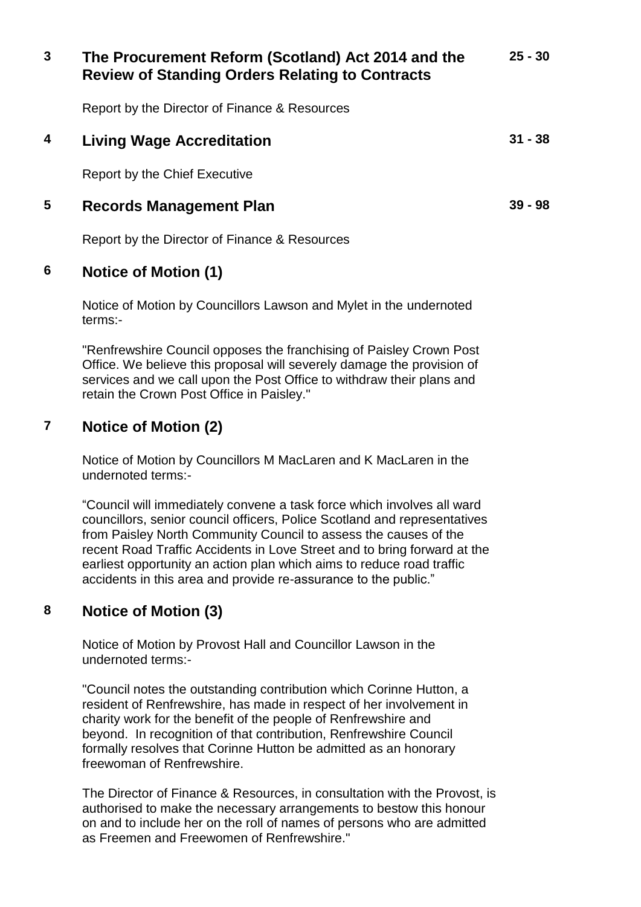| 3 | The Procurement Reform (Scotland) Act 2014 and the<br><b>Review of Standing Orders Relating to Contracts</b> | $25 - 30$ |
|---|--------------------------------------------------------------------------------------------------------------|-----------|
|   | Report by the Director of Finance & Resources                                                                |           |
| 4 | Living Wage Accreditation                                                                                    | $31 - 38$ |
|   | Report by the Chief Executive                                                                                |           |
| 5 | Records Management Plan                                                                                      | $39 - 98$ |
|   | Report by the Director of Finance & Resources                                                                |           |
|   |                                                                                                              |           |

#### **6 Notice of Motion (1)**

Notice of Motion by Councillors Lawson and Mylet in the undernoted terms:-

"Renfrewshire Council opposes the franchising of Paisley Crown Post Office. We believe this proposal will severely damage the provision of services and we call upon the Post Office to withdraw their plans and retain the Crown Post Office in Paisley."

# **7 Notice of Motion (2)**

Notice of Motion by Councillors M MacLaren and K MacLaren in the undernoted terms:-

"Council will immediately convene a task force which involves all ward councillors, senior council officers, Police Scotland and representatives from Paisley North Community Council to assess the causes of the recent Road Traffic Accidents in Love Street and to bring forward at the earliest opportunity an action plan which aims to reduce road traffic accidents in this area and provide re-assurance to the public."

# **8 Notice of Motion (3)**

Notice of Motion by Provost Hall and Councillor Lawson in the undernoted terms:-

"Council notes the outstanding contribution which Corinne Hutton, a resident of Renfrewshire, has made in respect of her involvement in charity work for the benefit of the people of Renfrewshire and beyond. In recognition of that contribution, Renfrewshire Council formally resolves that Corinne Hutton be admitted as an honorary freewoman of Renfrewshire.

The Director of Finance & Resources, in consultation with the Provost, is authorised to make the necessary arrangements to bestow this honour on and to include her on the roll of names of persons who are admitted as Freemen and Freewomen of Renfrewshire."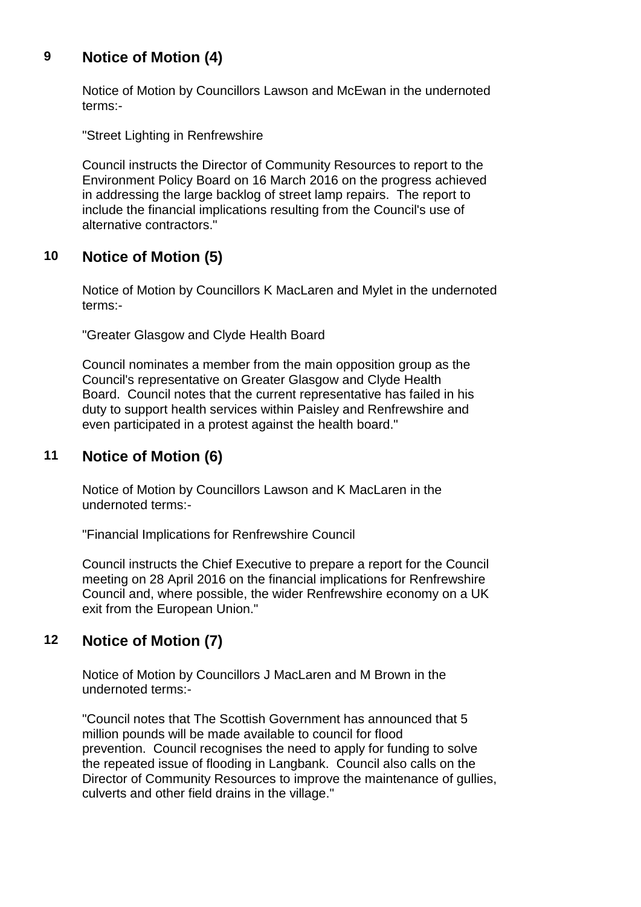# **9 Notice of Motion (4)**

Notice of Motion by Councillors Lawson and McEwan in the undernoted terms:-

"Street Lighting in Renfrewshire

Council instructs the Director of Community Resources to report to the Environment Policy Board on 16 March 2016 on the progress achieved in addressing the large backlog of street lamp repairs. The report to include the financial implications resulting from the Council's use of alternative contractors."

#### **10 Notice of Motion (5)**

Notice of Motion by Councillors K MacLaren and Mylet in the undernoted terms:-

"Greater Glasgow and Clyde Health Board

Council nominates a member from the main opposition group as the Council's representative on Greater Glasgow and Clyde Health Board. Council notes that the current representative has failed in his duty to support health services within Paisley and Renfrewshire and even participated in a protest against the health board."

# **11 Notice of Motion (6)**

Notice of Motion by Councillors Lawson and K MacLaren in the undernoted terms:-

"Financial Implications for Renfrewshire Council

Council instructs the Chief Executive to prepare a report for the Council meeting on 28 April 2016 on the financial implications for Renfrewshire Council and, where possible, the wider Renfrewshire economy on a UK exit from the European Union."

#### **12 Notice of Motion (7)**

Notice of Motion by Councillors J MacLaren and M Brown in the undernoted terms:-

"Council notes that The Scottish Government has announced that 5 million pounds will be made available to council for flood prevention. Council recognises the need to apply for funding to solve the repeated issue of flooding in Langbank. Council also calls on the Director of Community Resources to improve the maintenance of gullies, culverts and other field drains in the village."